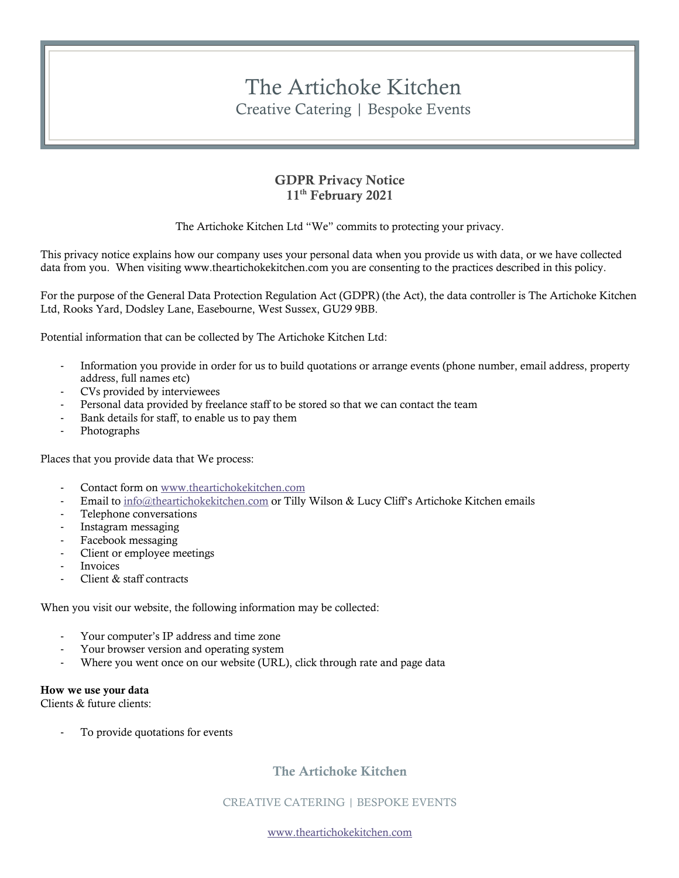# The Artichoke Kitchen Creative Catering | Bespoke Events

### GDPR Privacy Notice 11<sup>th</sup> February 2021

The Artichoke Kitchen Ltd "We" commits to protecting your privacy.

This privacy notice explains how our company uses your personal data when you provide us with data, or we have collected data from you. When visiting www.theartichokekitchen.com you are consenting to the practices described in this policy.

For the purpose of the General Data Protection Regulation Act (GDPR) (the Act), the data controller is The Artichoke Kitchen Ltd, Rooks Yard, Dodsley Lane, Easebourne, West Sussex, GU29 9BB.

Potential information that can be collected by The Artichoke Kitchen Ltd:

- Information you provide in order for us to build quotations or arrange events (phone number, email address, property address, full names etc)
- CVs provided by interviewees
- Personal data provided by freelance staff to be stored so that we can contact the team
- Bank details for staff, to enable us to pay them
- **Photographs**

Places that you provide data that We process:

- Contact form on www.theartichokekitchen.com
- Email to info@theartichokekitchen.com or Tilly Wilson & Lucy Cliff's Artichoke Kitchen emails
- Telephone conversations
- Instagram messaging
- Facebook messaging
- Client or employee meetings
- **Invoices**
- Client & staff contracts

When you visit our website, the following information may be collected:

- Your computer's IP address and time zone
- Your browser version and operating system
- Where you went once on our website (URL), click through rate and page data

#### How we use your data

Clients & future clients:

To provide quotations for events

# The Artichoke Kitchen

CREATIVE CATERING | BESPOKE EVENTS

www.theartichokekitchen.com